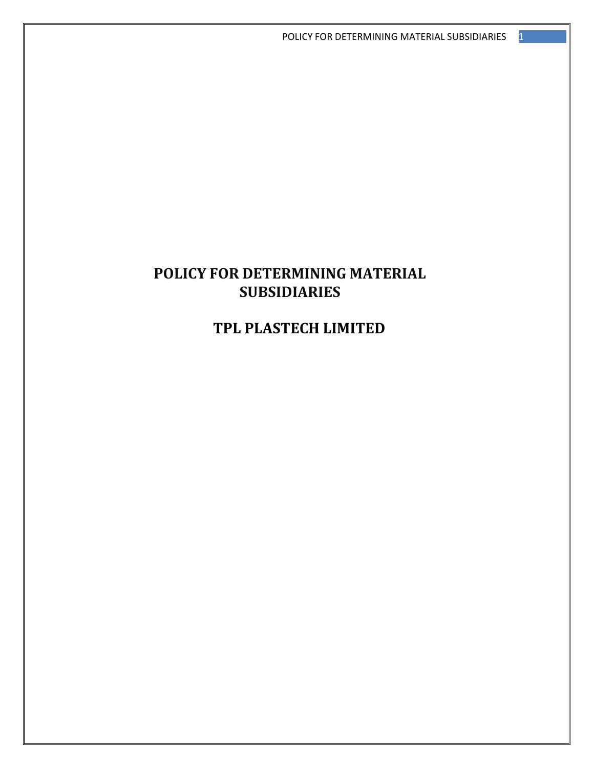# **POLICY FOR DETERMINING MATERIAL SUBSIDIARIES**

**TPL PLASTECH LIMITED**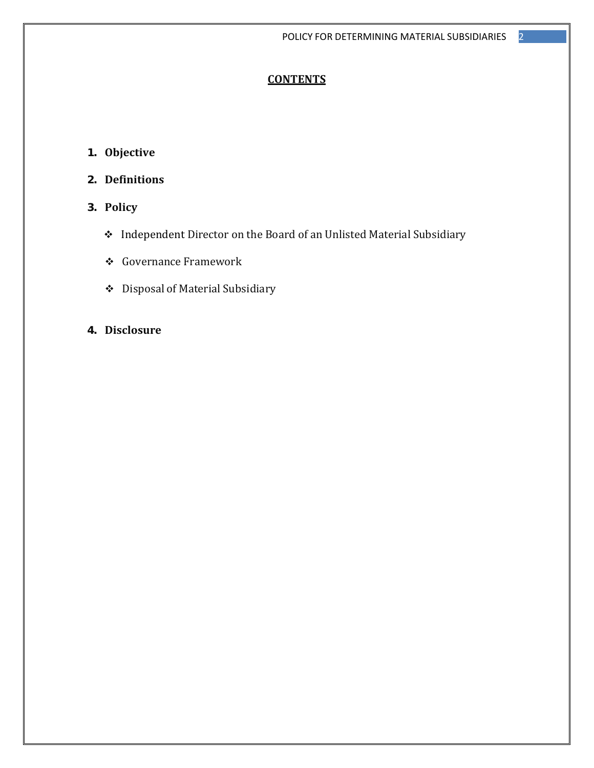# **CONTENTS**

- **1. Objective**
- **2. Definitions**
- **3. Policy**
	- \* Independent Director on the Board of an Unlisted Material Subsidiary
	- **❖** Governance Framework
	- ◆ Disposal of Material Subsidiary
- **4. Disclosure**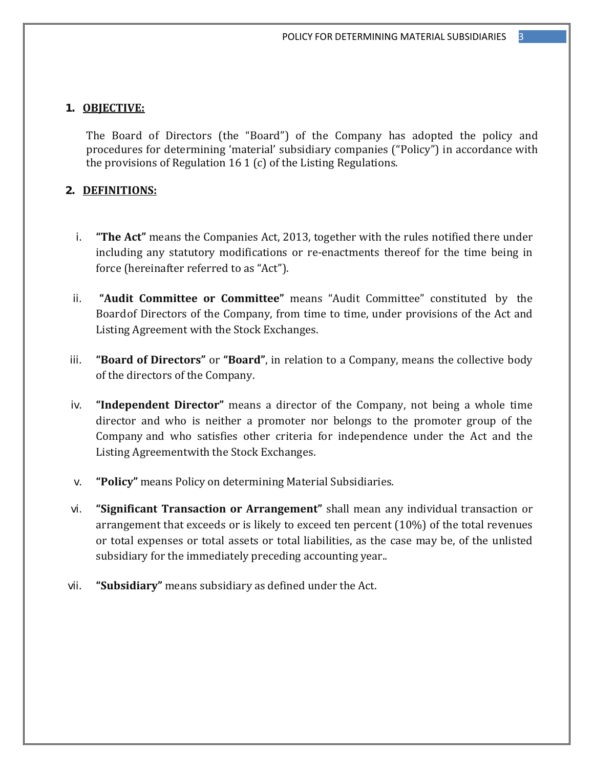#### **1. OBJECTIVE:**

The Board of Directors (the "Board") of the Company has adopted the policy and procedures for determining 'material' subsidiary companies ("Policy") in accordance with the provisions of Regulation 16 1 (c) of the Listing Regulations.

# **2. DEFINITIONS:**

- i. **"The Act"** means the Companies Act, 2013, together with the rules notified there under including any statutory modifications or re-enactments thereof for the time being in force (hereinafter referred to as "Act").
- ii. **"Audit Committee or Committee"** means "Audit Committee" constituted by the Board of Directors of the Company, from time to time, under provisions of the Act and Listing Agreement with the Stock Exchanges.
- iii. **"Board of Directors"** or **"Board"**, in relation to a Company, means the collective body of the directors of the Company.
- iv. **"Independent Director"** means a director of the Company, not being a whole time director and who is neither a promoter nor belongs to the promoter group of the Company and who satisfies other criteria for independence under the Act and the Listing Agreementwith the Stock Exchanges.
- v. **"Policy"** means Policy on determining Material Subsidiaries.
- vi. **"Significant Transaction or Arrangement"** shall mean any individual transaction or arrangement that exceeds or is likely to exceed ten percent  $(10\%)$  of the total revenues or total expenses or total assets or total liabilities, as the case may be, of the unlisted subsidiary for the immediately preceding accounting year...
- vii. "Subsidiary" means subsidiary as defined under the Act.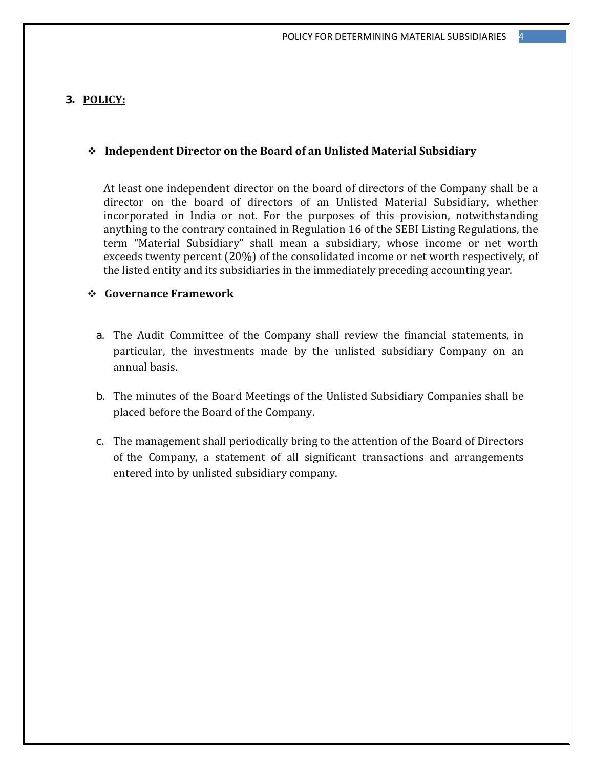#### **3. POLICY:**

## **Independent Director on the Board of an Unlisted Material Subsidiary**

At least one independent director on the board of directors of the Company shall be a director on the board of directors of an Unlisted Material Subsidiary, whether incorporated in India or not. For the purposes of this provision, notwithstanding anything to the contrary contained in Regulation 16 of the SEBI Listing Regulations, the term "Material Subsidiary" shall mean a subsidiary, whose income or net worth exceeds twenty percent  $(20%)$  of the consolidated income or net worth respectively, of the listed entity and its subsidiaries in the immediately preceding accounting year.

# **Governance Framework**

- a. The Audit Committee of the Company shall review the financial statements, in particular, the investments made by the unlisted subsidiary Company on an annual basis.
- b. The minutes of the Board Meetings of the Unlisted Subsidiary Companies shall be placed before the Board of the Company.
- c. The management shall periodically bring to the attention of the Board of Directors of the Company, a statement of all significant transactions and arrangements entered into by unlisted subsidiary company.